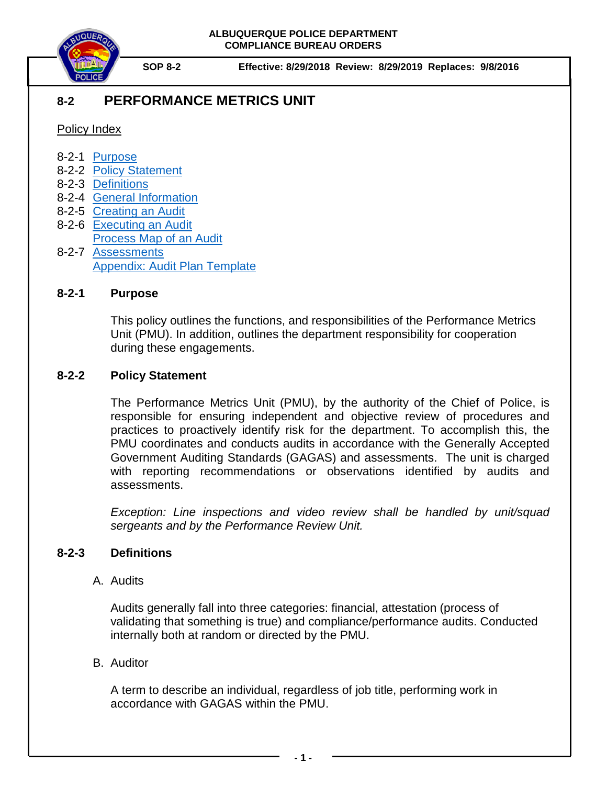

# **8-2 PERFORMANCE METRICS UNIT**

## Policy Index

- 8-2-1 [Purpose](#page-0-0)
- 8-2-2 [Policy Statement](#page-0-1)
- 8-2-3 [Definitions](#page-0-2)
- 8-2-4 [General Information](#page-1-0)
- 8-2-5 [Creating an Audit](#page-3-0)
- 8-2-6 [Executing an Audit](#page-4-0) [Process Map of an Audit](#page-6-0)
- 8-2-7 [Assessments](#page-6-1) [Appendix: Audit Plan Template](#page-7-0)

## **8-2-1 Purpose**

<span id="page-0-0"></span>This policy outlines the functions, and responsibilities of the Performance Metrics Unit (PMU). In addition, outlines the department responsibility for cooperation during these engagements.

## **8-2-2 Policy Statement**

<span id="page-0-1"></span>The Performance Metrics Unit (PMU), by the authority of the Chief of Police, is responsible for ensuring independent and objective review of procedures and practices to proactively identify risk for the department. To accomplish this, the PMU coordinates and conducts audits in accordance with the Generally Accepted Government Auditing Standards (GAGAS) and assessments. The unit is charged with reporting recommendations or observations identified by audits and assessments.

*Exception: Line inspections and video review shall be handled by unit/squad sergeants and by the Performance Review Unit.*

## **8-2-3 Definitions**

<span id="page-0-2"></span>A. Audits

Audits generally fall into three categories: financial, attestation (process of validating that something is true) and compliance/performance audits. Conducted internally both at random or directed by the PMU.

B. Auditor

A term to describe an individual, regardless of job title, performing work in accordance with GAGAS within the PMU.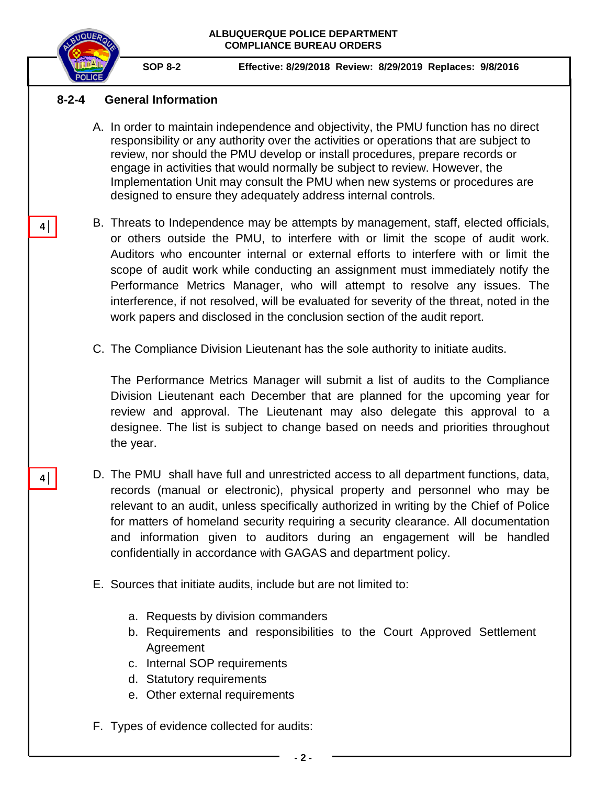

**4**

**4**

#### **SOP 8-2 Effective: 8/29/2018 Review: 8/29/2019 Replaces: 9/8/2016**

#### **8-2-4 General Information**

- <span id="page-1-0"></span>A. In order to maintain independence and objectivity, the PMU function has no direct responsibility or any authority over the activities or operations that are subject to review, nor should the PMU develop or install procedures, prepare records or engage in activities that would normally be subject to review. However, the Implementation Unit may consult the PMU when new systems or procedures are designed to ensure they adequately address internal controls.
- B. Threats to Independence may be attempts by management, staff, elected officials, or others outside the PMU, to interfere with or limit the scope of audit work. Auditors who encounter internal or external efforts to interfere with or limit the scope of audit work while conducting an assignment must immediately notify the Performance Metrics Manager, who will attempt to resolve any issues. The interference, if not resolved, will be evaluated for severity of the threat, noted in the work papers and disclosed in the conclusion section of the audit report.
- C. The Compliance Division Lieutenant has the sole authority to initiate audits.

The Performance Metrics Manager will submit a list of audits to the Compliance Division Lieutenant each December that are planned for the upcoming year for review and approval. The Lieutenant may also delegate this approval to a designee. The list is subject to change based on needs and priorities throughout the year.

- D. The PMU shall have full and unrestricted access to all department functions, data, records (manual or electronic), physical property and personnel who may be relevant to an audit, unless specifically authorized in writing by the Chief of Police for matters of homeland security requiring a security clearance. All documentation and information given to auditors during an engagement will be handled confidentially in accordance with GAGAS and department policy.
- E. Sources that initiate audits, include but are not limited to:
	- a. Requests by division commanders
	- b. Requirements and responsibilities to the Court Approved Settlement Agreement
	- c. Internal SOP requirements
	- d. Statutory requirements
	- e. Other external requirements
- F. Types of evidence collected for audits: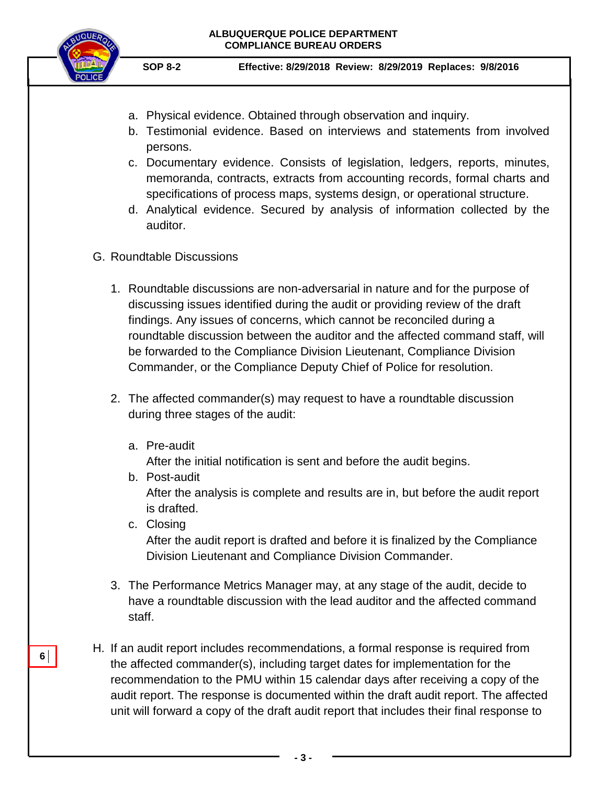

- a. Physical evidence. Obtained through observation and inquiry.
- b. Testimonial evidence. Based on interviews and statements from involved persons.
- c. Documentary evidence. Consists of legislation, ledgers, reports, minutes, memoranda, contracts, extracts from accounting records, formal charts and specifications of process maps, systems design, or operational structure.
- d. Analytical evidence. Secured by analysis of information collected by the auditor.
- G. Roundtable Discussions
	- 1. Roundtable discussions are non-adversarial in nature and for the purpose of discussing issues identified during the audit or providing review of the draft findings. Any issues of concerns, which cannot be reconciled during a roundtable discussion between the auditor and the affected command staff, will be forwarded to the Compliance Division Lieutenant, Compliance Division Commander, or the Compliance Deputy Chief of Police for resolution.
	- 2. The affected commander(s) may request to have a roundtable discussion during three stages of the audit:
		- a. Pre-audit After the initial notification is sent and before the audit begins.
		- b. Post-audit After the analysis is complete and results are in, but before the audit report is drafted.
		- c. Closing After the audit report is drafted and before it is finalized by the Compliance Division Lieutenant and Compliance Division Commander.
	- 3. The Performance Metrics Manager may, at any stage of the audit, decide to have a roundtable discussion with the lead auditor and the affected command staff.
- H. If an audit report includes recommendations, a formal response is required from the affected commander(s), including target dates for implementation for the recommendation to the PMU within 15 calendar days after receiving a copy of the audit report. The response is documented within the draft audit report. The affected unit will forward a copy of the draft audit report that includes their final response to

**6**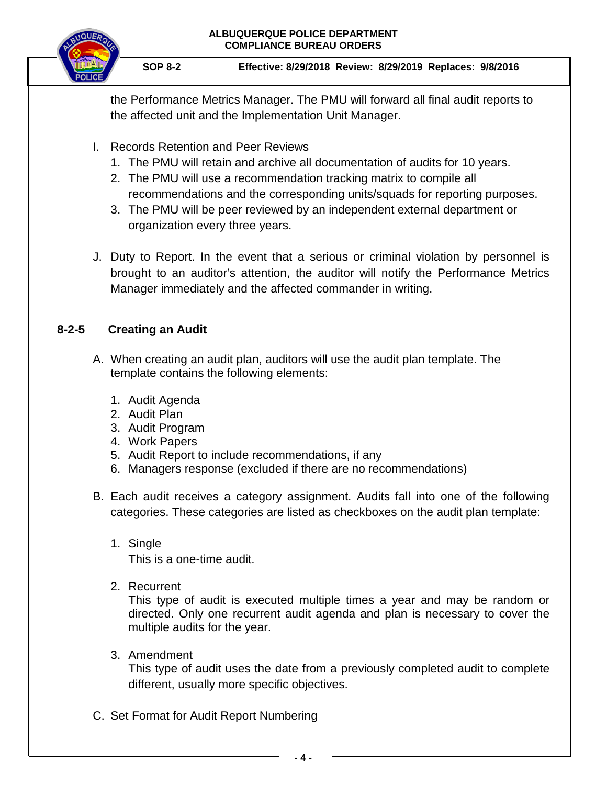

the Performance Metrics Manager. The PMU will forward all final audit reports to the affected unit and the Implementation Unit Manager.

- I. Records Retention and Peer Reviews
	- 1. The PMU will retain and archive all documentation of audits for 10 years.
	- 2. The PMU will use a recommendation tracking matrix to compile all recommendations and the corresponding units/squads for reporting purposes.
	- 3. The PMU will be peer reviewed by an independent external department or organization every three years.
- J. Duty to Report. In the event that a serious or criminal violation by personnel is brought to an auditor's attention, the auditor will notify the Performance Metrics Manager immediately and the affected commander in writing.

## **8-2-5 Creating an Audit**

- <span id="page-3-0"></span>A. When creating an audit plan, auditors will use the audit plan template. The template contains the following elements:
	- 1. Audit Agenda
	- 2. Audit Plan
	- 3. Audit Program
	- 4. Work Papers
	- 5. Audit Report to include recommendations, if any
	- 6. Managers response (excluded if there are no recommendations)
- B. Each audit receives a category assignment. Audits fall into one of the following categories. These categories are listed as checkboxes on the audit plan template:
	- 1. Single This is a one-time audit.
	- 2. Recurrent

This type of audit is executed multiple times a year and may be random or directed. Only one recurrent audit agenda and plan is necessary to cover the multiple audits for the year.

3. Amendment

This type of audit uses the date from a previously completed audit to complete different, usually more specific objectives.

C. Set Format for Audit Report Numbering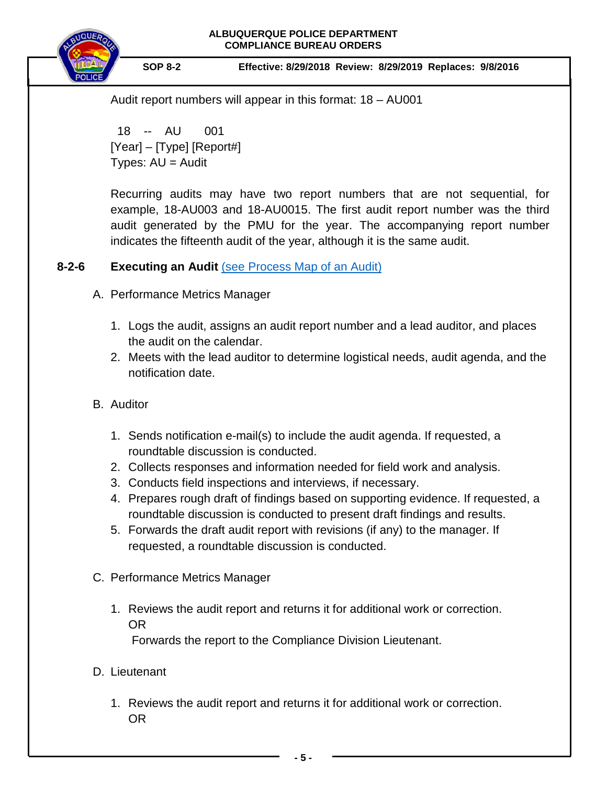

#### **SOP 8-2 Effective: 8/29/2018 Review: 8/29/2019 Replaces: 9/8/2016**

Audit report numbers will appear in this format: 18 – AU001

 18 -- AU 001 [Year] – [Type] [Report#] Types: AU = Audit

Recurring audits may have two report numbers that are not sequential, for example, 18-AU003 and 18-AU0015. The first audit report number was the third audit generated by the PMU for the year. The accompanying report number indicates the fifteenth audit of the year, although it is the same audit.

## **8-2-6 Executing an Audit** [\(see Process Map of an Audit\)](#page-6-0)

- <span id="page-4-0"></span>A. Performance Metrics Manager
	- 1. Logs the audit, assigns an audit report number and a lead auditor, and places the audit on the calendar.
	- 2. Meets with the lead auditor to determine logistical needs, audit agenda, and the notification date.
- B. Auditor
	- 1. Sends notification e-mail(s) to include the audit agenda. If requested, a roundtable discussion is conducted.
	- 2. Collects responses and information needed for field work and analysis.
	- 3. Conducts field inspections and interviews, if necessary.
	- 4. Prepares rough draft of findings based on supporting evidence. If requested, a roundtable discussion is conducted to present draft findings and results.
	- 5. Forwards the draft audit report with revisions (if any) to the manager. If requested, a roundtable discussion is conducted.
- C. Performance Metrics Manager
	- 1. Reviews the audit report and returns it for additional work or correction. OR

Forwards the report to the Compliance Division Lieutenant.

- D. Lieutenant
	- 1. Reviews the audit report and returns it for additional work or correction. OR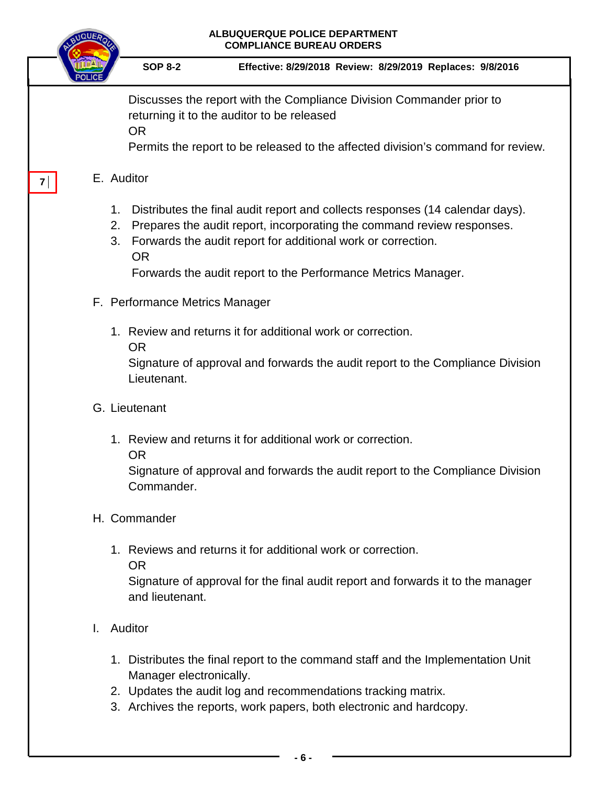## **SOP 8-2 Effective: 8/29/2018 Review: 8/29/2019 Replaces: 9/8/2016**

Discusses the report with the Compliance Division Commander prior to returning it to the auditor to be released OR

Permits the report to be released to the affected division's command for review.

## E. Auditor

**7**

- 1. Distributes the final audit report and collects responses (14 calendar days).
- 2. Prepares the audit report, incorporating the command review responses.
- 3. Forwards the audit report for additional work or correction. OR

Forwards the audit report to the Performance Metrics Manager.

- F. Performance Metrics Manager
	- 1. Review and returns it for additional work or correction.
		- OR

Signature of approval and forwards the audit report to the Compliance Division Lieutenant.

- G. Lieutenant
	- 1. Review and returns it for additional work or correction.

OR

Signature of approval and forwards the audit report to the Compliance Division Commander.

- H. Commander
	- 1. Reviews and returns it for additional work or correction.

OR

Signature of approval for the final audit report and forwards it to the manager and lieutenant.

- I. Auditor
	- 1. Distributes the final report to the command staff and the Implementation Unit Manager electronically.
	- 2. Updates the audit log and recommendations tracking matrix.
	- 3. Archives the reports, work papers, both electronic and hardcopy.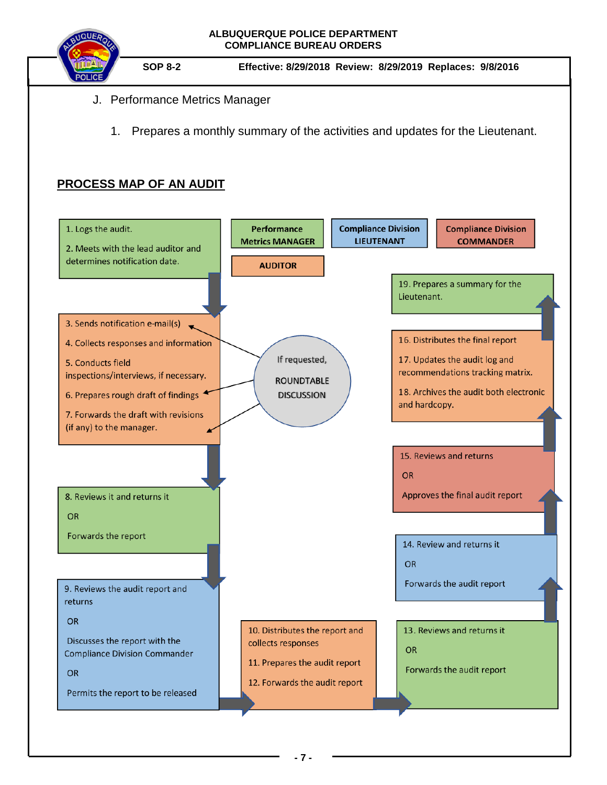

**SOP 8-2 Effective: 8/29/2018 Review: 8/29/2019 Replaces: 9/8/2016** 

- J. Performance Metrics Manager
	- 1. Prepares a monthly summary of the activities and updates for the Lieutenant.

# **PROCESS MAP OF AN AUDIT**

<span id="page-6-1"></span><span id="page-6-0"></span>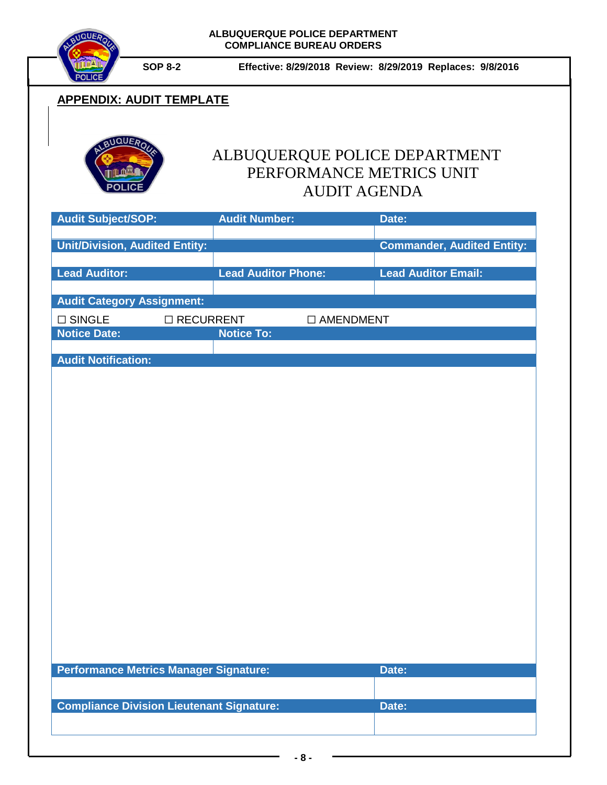

# **APPENDIX: AUDIT TEMPLATE**



# <span id="page-7-0"></span>ALBUQUERQUE POLICE DEPARTMENT PERFORMANCE METRICS UNIT AUDIT AGENDA

| <b>Audit Subject/SOP:</b>                        | <b>Audit Number:</b>       |             | Date:                             |
|--------------------------------------------------|----------------------------|-------------|-----------------------------------|
|                                                  |                            |             |                                   |
| <b>Unit/Division, Audited Entity:</b>            |                            |             | <b>Commander, Audited Entity:</b> |
| <b>Lead Auditor:</b>                             | <b>Lead Auditor Phone:</b> |             | <b>Lead Auditor Email:</b>        |
|                                                  |                            |             |                                   |
| <b>Audit Category Assignment:</b>                |                            |             |                                   |
| $\square$ SINGLE                                 | □ RECURRENT                | □ AMENDMENT |                                   |
| <b>Notice Date:</b>                              | <b>Notice To:</b>          |             |                                   |
|                                                  |                            |             |                                   |
| <b>Audit Notification:</b>                       |                            |             |                                   |
|                                                  |                            |             |                                   |
|                                                  |                            |             |                                   |
|                                                  |                            |             |                                   |
|                                                  |                            |             |                                   |
|                                                  |                            |             |                                   |
|                                                  |                            |             |                                   |
|                                                  |                            |             |                                   |
|                                                  |                            |             |                                   |
|                                                  |                            |             |                                   |
|                                                  |                            |             |                                   |
|                                                  |                            |             |                                   |
|                                                  |                            |             |                                   |
|                                                  |                            |             |                                   |
|                                                  |                            |             |                                   |
|                                                  |                            |             |                                   |
|                                                  |                            |             |                                   |
|                                                  |                            |             |                                   |
|                                                  |                            |             |                                   |
|                                                  |                            |             |                                   |
| Performance Metrics Manager Signature:           |                            |             | Date:                             |
|                                                  |                            |             |                                   |
|                                                  |                            |             |                                   |
| <b>Compliance Division Lieutenant Signature:</b> |                            |             | Date:                             |
|                                                  |                            |             |                                   |
|                                                  |                            |             |                                   |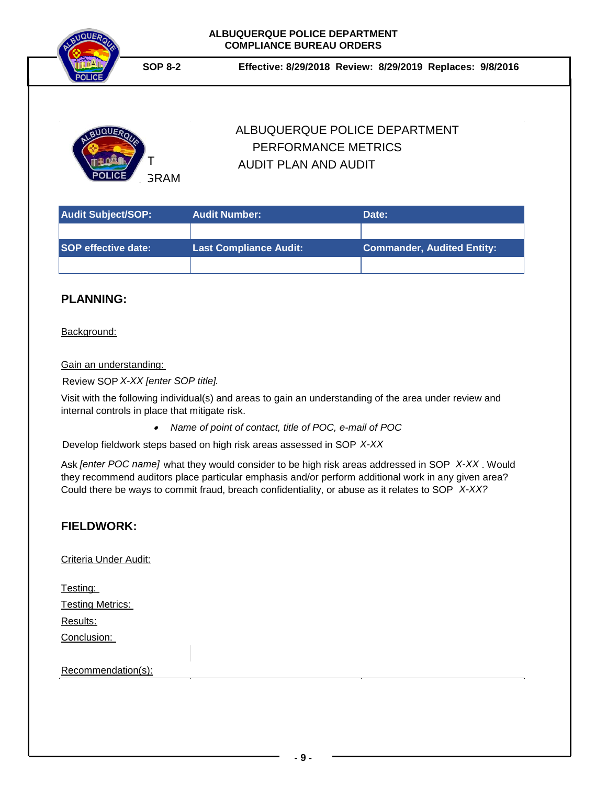

#### **SOP 8-2 Effective: 8/29/2018 Review: 8/29/2019 Replaces: 9/8/2016**



# ALBUQUERQUE POLICE DEPARTMENT PERFORMANCE METRICS UNIT AUDIT PLAN AND AUDIT

| <b>Audit Subject/SOP:</b>  | Audit Number: ˈ               | Date:                             |
|----------------------------|-------------------------------|-----------------------------------|
|                            |                               |                                   |
| <b>SOP</b> effective date: | <b>Last Compliance Audit:</b> | <b>Commander, Audited Entity:</b> |
|                            |                               |                                   |

## **PLANNING:**

#### Background:

#### Gain an understanding:

Review SOP *X-XX [enter SOP title].* 

Visit with the following individual(s) and areas to gain an understanding of the area under review and internal controls in place that mitigate risk.

• *Name of point of contact, title of POC, e-mail of POC*

Develop fieldwork steps based on high risk areas assessed in SOP *X-XX* 

Ask *[enter POC name]* what they would consider to be high risk areas addressed in SOP *X-XX* . Would they recommend auditors place particular emphasis and/or perform additional work in any given area? Could there be ways to commit fraud, breach confidentiality, or abuse as it relates to SOP *X-XX?* 

## **FIELDWORK:**

Criteria Under Audit:

| <u>Testing:</u>         |
|-------------------------|
| <b>Testing Metrics:</b> |
| Results:                |
| Conclusion:             |

Recommendation(s):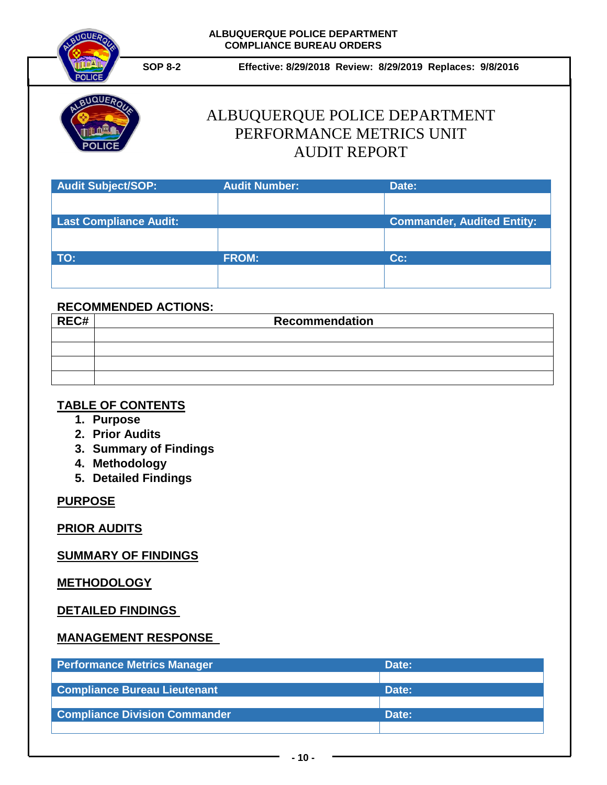|                           | <b>SOP 8-2</b>                           |                       | Effective: 8/29/2018 Review: 8/29/2019 Replaces: 9/8/2016 |  |
|---------------------------|------------------------------------------|-----------------------|-----------------------------------------------------------|--|
|                           |                                          |                       |                                                           |  |
| <b>IQUER</b>              |                                          |                       |                                                           |  |
|                           |                                          |                       | ALBUQUERQUE POLICE DEPARTMENT                             |  |
|                           | PERFORMANCE METRICS UNIT                 |                       |                                                           |  |
|                           |                                          |                       | <b>AUDIT REPORT</b>                                       |  |
| <b>Audit Subject/SOP:</b> |                                          | <b>Audit Number:</b>  | Date:                                                     |  |
|                           | <b>Last Compliance Audit:</b>            |                       | <b>Commander, Audited Entity:</b>                         |  |
|                           |                                          |                       |                                                           |  |
|                           |                                          | <b>FROM:</b>          | Cc:                                                       |  |
|                           |                                          |                       |                                                           |  |
|                           | <b>RECOMMENDED ACTIONS:</b>              |                       |                                                           |  |
| TO:<br>REC#               |                                          | <b>Recommendation</b> |                                                           |  |
|                           |                                          |                       |                                                           |  |
|                           |                                          |                       |                                                           |  |
|                           |                                          |                       |                                                           |  |
|                           | <b>TABLE OF CONTENTS</b>                 |                       |                                                           |  |
| 1. Purpose                |                                          |                       |                                                           |  |
| 2. Prior Audits           |                                          |                       |                                                           |  |
|                           | 3. Summary of Findings<br>4. Methodology |                       |                                                           |  |

**PRIOR AUDITS**

**SUMMARY OF FINDINGS** 

**METHODOLOGY** 

**DETAILED FINDINGS** 

## **MANAGEMENT RESPONSE**

| <b>Performance Metrics Manager</b>   | Date: |
|--------------------------------------|-------|
|                                      |       |
| Compliance Bureau Lieutenant         | Date: |
|                                      |       |
| <b>Compliance Division Commander</b> | Date: |
|                                      |       |